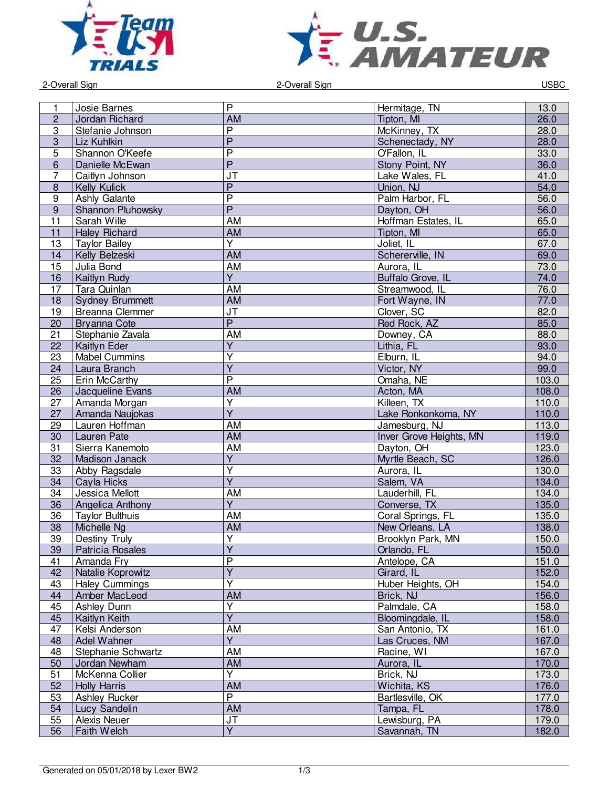



example 2-Overall Sign and DSBC and Sign and DSBC 2-Overall Sign and DSBC and DSBC and DSBC and DSBC and DSBC and DSBC and DSBC and DSBC and DSBC and DSBC and DSBC and DSBC and DSBC and DSBC and DSBC and DSBC and DSBC and

| 1                | Josie Barnes           | P                                 | Hermitage, TN           | 13.0  |
|------------------|------------------------|-----------------------------------|-------------------------|-------|
| $\overline{c}$   | Jordan Richard         | <b>AM</b>                         | Tipton, MI              | 26.0  |
| 3                | Stefanie Johnson       | $\overline{\mathsf{P}}$           | McKinney, TX            | 28.0  |
|                  |                        | $\overline{P}$                    |                         |       |
| $\overline{3}$   | Liz Kuhlkin            |                                   | Schenectady, NY         | 28.0  |
| $\overline{5}$   | Shannon O'Keefe        | $\overline{\mathsf{P}}$           | O'Fallon, IL            | 33.0  |
| $6\phantom{1}$   | Danielle McEwan        | $\overline{P}$                    | Stony Point, NY         | 36.0  |
| $\overline{7}$   | Caitlyn Johnson        | $\overline{\mathsf{J}\mathsf{T}}$ | Lake Wales, FL          | 41.0  |
| $\bf 8$          | Kelly Kulick           | $\overline{P}$                    | Union, NJ               | 54.0  |
| 9                | Ashly Galante          | $\overline{\mathsf{P}}$           | Palm Harbor, FL         | 56.0  |
| $\boldsymbol{9}$ | Shannon Pluhowsky      | $\overline{P}$                    | Dayton, OH              | 56.0  |
| 11               | Sarah Wille            | AM                                | Hoffman Estates, IL     | 65.0  |
| 11               | <b>Haley Richard</b>   | <b>AM</b>                         | Tipton, MI              | 65.0  |
| 13               | <b>Taylor Bailey</b>   | $\overline{\mathsf{Y}}$           | Joliet, IL              | 67.0  |
| 14               | Kelly Belzeski         | <b>AM</b>                         | Schererville, IN        | 69.0  |
| 15               | Julia Bond             | <b>AM</b>                         | Aurora, IL              | 73.0  |
| 16               | Kaitlyn Rudy           | $\overline{Y}$                    | Buffalo Grove, IL       | 74.0  |
| 17               | Tara Quinlan           | AM                                | Streamwood, IL          | 76.0  |
| 18               | <b>Sydney Brummett</b> | AM                                | Fort Wayne, IN          | 77.0  |
| 19               | <b>Breanna Clemmer</b> | $\overline{\mathsf{J}\mathsf{T}}$ | Clover, SC              | 82.0  |
| 20               | <b>Bryanna Cote</b>    | $\overline{P}$                    | Red Rock, AZ            | 85.0  |
| 21               | Stephanie Zavala       | AM                                | Downey, CA              | 88.0  |
| 22               | Kaitlyn Eder           | $\overline{Y}$                    | Lithia, FL              | 93.0  |
| 23               | <b>Mabel Cummins</b>   | $\overline{\mathsf{Y}}$           | Elburn, IL              | 94.0  |
| 24               | Laura Branch           | $\overline{Y}$                    | Victor, NY              | 99.0  |
|                  |                        | $\overline{P}$                    |                         |       |
| 25               | Erin McCarthy          |                                   | Omaha, NE               | 103.0 |
| 26               | Jacqueline Evans       | <b>AM</b>                         | Acton, MA               | 108.0 |
| 27               | Amanda Morgan          | Y                                 | Killeen, TX             | 110.0 |
| 27               | Amanda Naujokas        | $\overline{Y}$                    | Lake Ronkonkoma, NY     | 110.0 |
| 29               | Lauren Hoffman         | <b>AM</b>                         | Jamesburg, NJ           | 113.0 |
| 30               | Lauren Pate            | AM                                | Inver Grove Heights, MN | 119.0 |
| 31               | Sierra Kanemoto        | <b>AM</b>                         | Dayton, OH              | 123.0 |
| 32               | Madison Janack         | $\overline{\mathsf{Y}}$           | Myrtle Beach, SC        | 126.0 |
| 33               | Abby Ragsdale          | $\overline{Y}$                    | Aurora, IL              | 130.0 |
| 34               | Cayla Hicks            | $\overline{Y}$                    | Salem, VA               | 134.0 |
| 34               | Jessica Mellott        | <b>AM</b>                         | Lauderhill, FL          | 134.0 |
| 36               | Angelica Anthony       | $\overline{Y}$                    | Converse, TX            | 135.0 |
| 36               | <b>Taylor Bulthuis</b> | <b>AM</b>                         | Coral Springs, FL       | 135.0 |
| 38               | Michelle Ng            | <b>AM</b>                         | New Orleans, LA         | 138.0 |
| 39               | Destiny Truly          | $\overline{\mathsf{Y}}$           | Brooklyn Park, MN       | 150.0 |
| 39               | Patricia Rosales       | Y                                 | Orlando, FL             | 150.0 |
| 41               | Amanda Fry             | $\overline{\mathsf{P}}$           | Antelope, CA            | 151.0 |
| 42               | Natalie Koprowitz      | $\overline{Y}$                    | Girard, IL              | 152.0 |
| 43               | <b>Haley Cummings</b>  | Ÿ                                 | Huber Heights, OH       | 154.0 |
| 44               | Amber MacLeod          | <b>AM</b>                         | Brick, NJ               | 156.0 |
| 45               | Ashley Dunn            | Ÿ                                 | Palmdale, CA            | 158.0 |
| 45               | Kaitlyn Keith          | $\overline{Y}$                    | Bloomingdale, IL        | 158.0 |
| 47               | Kelsi Anderson         | <b>AM</b>                         | San Antonio, TX         | 161.0 |
| 48               | Adel Wahner            | $\overline{Y}$                    | Las Cruces, NM          | 167.0 |
| 48               | Stephanie Schwartz     | AM                                | Racine, WI              | 167.0 |
| 50               | Jordan Newham          | <b>AM</b>                         | Aurora, IL              | 170.0 |
|                  |                        | Y                                 |                         |       |
| 51               | McKenna Collier        |                                   | Brick, NJ               | 173.0 |
| 52               | <b>Holly Harris</b>    | AM                                | Wichita, KS             | 176.0 |
| 53               | Ashley Rucker          | $\overline{P}$                    | Bartlesville, OK        | 177.0 |
| 54               | Lucy Sandelin          | <b>AM</b>                         | Tampa, FL               | 178.0 |
| 55<br>56         | Alexis Neuer           | JT                                | Lewisburg, PA           | 179.0 |
|                  | Faith Welch            | $\overline{Y}$                    | Savannah, TN            | 182.0 |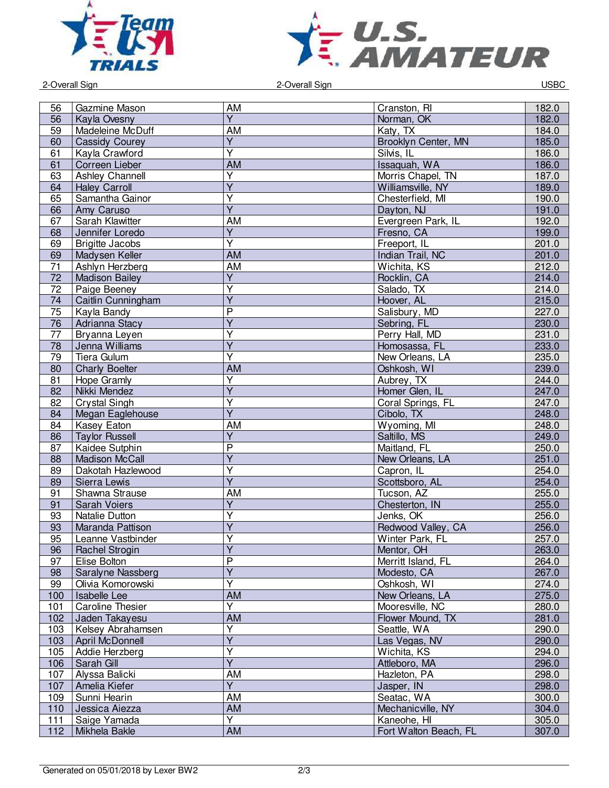



2-Overall Sign 2-Overall Sign USBC

| 56  | Gazmine Mason           | AM                      | Cranston, RI          | 182.0 |
|-----|-------------------------|-------------------------|-----------------------|-------|
| 56  | Kayla Ovesny            | $\overline{Y}$          | Norman, OK            | 182.0 |
| 59  | Madeleine McDuff        | AM                      | Katy, TX              | 184.0 |
| 60  | <b>Cassidy Courey</b>   | $\overline{\mathsf{Y}}$ | Brooklyn Center, MN   | 185.0 |
| 61  | Kayla Crawford          | $\overline{\mathsf{Y}}$ | Silvis, IL            | 186.0 |
|     |                         |                         |                       |       |
| 61  | Correen Lieber          | AM                      | Issaquah, WA          | 186.0 |
| 63  | Ashley Channell         | $\overline{\mathsf{Y}}$ | Morris Chapel, TN     | 187.0 |
| 64  | <b>Haley Carroll</b>    | $\overline{Y}$          | Williamsville, NY     | 189.0 |
| 65  | Samantha Gainor         | $\overline{\mathsf{Y}}$ | Chesterfield, MI      | 190.0 |
| 66  | Amy Caruso              | $\overline{Y}$          | Dayton, NJ            | 191.0 |
| 67  | Sarah Klawitter         | AM                      | Evergreen Park, IL    | 192.0 |
|     |                         |                         |                       |       |
| 68  | Jennifer Loredo         | $\overline{Y}$          | Fresno, CA            | 199.0 |
| 69  | <b>Brigitte Jacobs</b>  | $\overline{\mathsf{Y}}$ | Freeport, IL          | 201.0 |
| 69  | Madysen Keller          | <b>AM</b>               | Indian Trail, NC      | 201.0 |
| 71  | Ashlyn Herzberg         | <b>AM</b>               | Wichita, KS           | 212.0 |
| 72  | <b>Madison Bailey</b>   | $\overline{Y}$          | Rocklin, CA           | 214.0 |
| 72  | Paige Beeney            | $\overline{\mathsf{Y}}$ | Salado, TX            | 214.0 |
| 74  | Caitlin Cunningham      | $\overline{Y}$          | Hoover, AL            | 215.0 |
|     |                         |                         |                       |       |
| 75  | Kayla Bandy             | $\overline{\mathsf{P}}$ | Salisbury, MD         | 227.0 |
| 76  | Adrianna Stacy          | $\overline{Y}$          | Sebring, FL           | 230.0 |
| 77  | Bryanna Leyen           | $\overline{\mathsf{Y}}$ | Perry Hall, MD        | 231.0 |
| 78  | Jenna Williams          | $\overline{Y}$          | Homosassa, FL         | 233.0 |
| 79  | Tiera Gulum             | Υ                       | New Orleans, LA       | 235.0 |
| 80  | <b>Charly Boelter</b>   | <b>AM</b>               | Oshkosh, WI           | 239.0 |
|     |                         | $\overline{Y}$          |                       |       |
| 81  | Hope Gramly             |                         | Aubrey, TX            | 244.0 |
| 82  | Nikki Mendez            | $\overline{Y}$          | Homer Glen, IL        | 247.0 |
| 82  | <b>Crystal Singh</b>    | $\overline{\mathsf{Y}}$ | Coral Springs, FL     | 247.0 |
| 84  | Megan Eaglehouse        | $\overline{Y}$          | Cibolo, TX            | 248.0 |
| 84  | <b>Kasey Eaton</b>      | AM                      | Wyoming, MI           | 248.0 |
| 86  | <b>Taylor Russell</b>   | $\overline{Y}$          | Saltillo, MS          | 249.0 |
| 87  | Kaidee Sutphin          | $\overline{P}$          | Maitland, FL          | 250.0 |
|     |                         | $\overline{\mathsf{Y}}$ |                       | 251.0 |
| 88  | <b>Madison McCall</b>   |                         | New Orleans, LA       |       |
| 89  | Dakotah Hazlewood       | $\overline{Y}$          | Capron, IL            | 254.0 |
| 89  | Sierra Lewis            | $\overline{Y}$          | Scottsboro, AL        | 254.0 |
| 91  | Shawna Strause          | AM                      | Tucson, AZ            | 255.0 |
| 91  | Sarah Voiers            | $\overline{Y}$          | Chesterton, IN        | 255.0 |
| 93  | Natalie Dutton          | Ÿ                       | Jenks, OK             | 256.0 |
| 93  | Maranda Pattison        | $\overline{\mathsf{Y}}$ | Redwood Valley, CA    | 256.0 |
|     |                         | $\overline{\mathsf{Y}}$ |                       |       |
| 95  | Leanne Vastbinder       |                         | Winter Park, FL       | 257.0 |
| 96  | Rachel Strogin          | Y                       | Mentor, OH            | 263.0 |
| 97  | Elise Bolton            | $\overline{\mathsf{P}}$ | Merritt Island, FL    | 264.0 |
| 98  | Saralyne Nassberg       | $\overline{\mathsf{Y}}$ | Modesto, CA           | 267.0 |
| 99  | Olivia Komorowski       | Ÿ                       | Oshkosh, WI           | 274.0 |
| 100 | Isabelle Lee            | <b>AM</b>               | New Orleans, LA       | 275.0 |
| 101 | <b>Caroline Thesier</b> | Υ                       | Mooresville, NC       | 280.0 |
|     | Jaden Takayesu          | <b>AM</b>               | Flower Mound, TX      |       |
| 102 |                         | $\overline{\mathsf{Y}}$ |                       | 281.0 |
| 103 | Kelsey Abrahamsen       |                         | Seattle, WA           | 290.0 |
| 103 | April McDonnell         | $\overline{Y}$          | Las Vegas, NV         | 290.0 |
| 105 | Addie Herzberg          | $\overline{\mathsf{Y}}$ | Wichita, KS           | 294.0 |
| 106 | Sarah Gill              | $\overline{Y}$          | Attleboro, MA         | 296.0 |
| 107 | Alyssa Balicki          | AM                      | Hazleton, PA          | 298.0 |
| 107 | Amelia Kiefer           | $\overline{Y}$          | Jasper, IN            | 298.0 |
| 109 | Sunni Hearin            | AM                      | Seatac, WA            | 300.0 |
|     |                         |                         |                       |       |
| 110 | Jessica Aiezza          | AM                      | Mechanicville, NY     | 304.0 |
| 111 | Saige Yamada            | Y                       | Kaneohe, HI           | 305.0 |
| 112 | Mikhela Bakle           | <b>AM</b>               | Fort Walton Beach, FL | 307.0 |